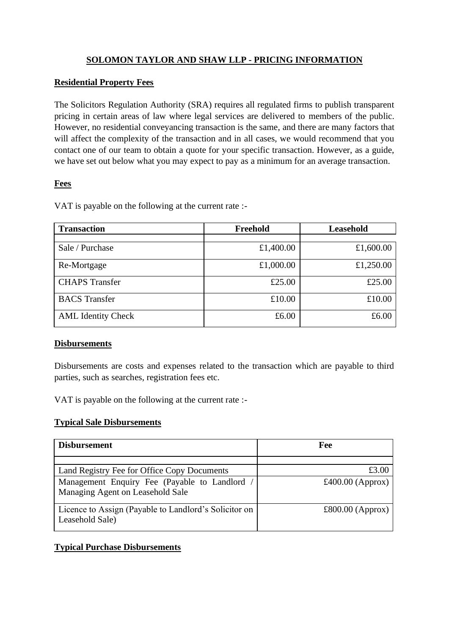# **SOLOMON TAYLOR AND SHAW LLP - PRICING INFORMATION**

### **Residential Property Fees**

The Solicitors Regulation Authority (SRA) requires all regulated firms to publish transparent pricing in certain areas of law where legal services are delivered to members of the public. However, no residential conveyancing transaction is the same, and there are many factors that will affect the complexity of the transaction and in all cases, we would recommend that you contact one of our team to obtain a quote for your specific transaction. However, as a guide, we have set out below what you may expect to pay as a minimum for an average transaction.

# **Fees**

VAT is payable on the following at the current rate :-

| <b>Transaction</b>        | Freehold  | Leasehold |
|---------------------------|-----------|-----------|
|                           |           |           |
| Sale / Purchase           | £1,400.00 | £1,600.00 |
| Re-Mortgage               | £1,000.00 | £1,250.00 |
| <b>CHAPS</b> Transfer     | £25.00    | £25.00    |
| <b>BACS</b> Transfer      | £10.00    | £10.00    |
| <b>AML</b> Identity Check | £6.00     | £6.00     |

### **Disbursements**

Disbursements are costs and expenses related to the transaction which are payable to third parties, such as searches, registration fees etc.

VAT is payable on the following at the current rate :-

### **Typical Sale Disbursements**

| <b>Disbursement</b>                                                             | Fee              |
|---------------------------------------------------------------------------------|------------------|
|                                                                                 |                  |
| Land Registry Fee for Office Copy Documents                                     | £3.00            |
| Management Enquiry Fee (Payable to Landlord<br>Managing Agent on Leasehold Sale | £400.00 (Approx) |
| Licence to Assign (Payable to Landlord's Solicitor on<br>Leasehold Sale)        | £800.00 (Approx) |

### **Typical Purchase Disbursements**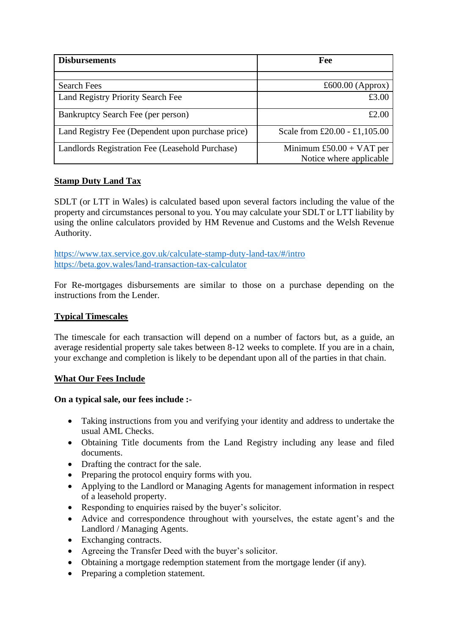| <b>Disbursements</b>                              | Fee                           |  |
|---------------------------------------------------|-------------------------------|--|
|                                                   |                               |  |
| <b>Search Fees</b>                                | £600.00 (Approx)              |  |
| Land Registry Priority Search Fee                 | £3.00                         |  |
| Bankruptcy Search Fee (per person)                | £2.00                         |  |
| Land Registry Fee (Dependent upon purchase price) | Scale from £20.00 - £1,105.00 |  |
| Landlords Registration Fee (Leasehold Purchase)   | Minimum $£50.00 + VAT$ per    |  |
|                                                   | Notice where applicable       |  |

# **Stamp Duty Land Tax**

SDLT (or LTT in Wales) is calculated based upon several factors including the value of the property and circumstances personal to you. You may calculate your SDLT or LTT liability by using the online calculators provided by HM Revenue and Customs and the Welsh Revenue Authority.

<https://www.tax.service.gov.uk/calculate-stamp-duty-land-tax/#/intro> <https://beta.gov.wales/land-transaction-tax-calculator>

For Re-mortgages disbursements are similar to those on a purchase depending on the instructions from the Lender.

#### **Typical Timescales**

The timescale for each transaction will depend on a number of factors but, as a guide, an average residential property sale takes between 8-12 weeks to complete. If you are in a chain, your exchange and completion is likely to be dependant upon all of the parties in that chain.

### **What Our Fees Include**

### **On a typical sale, our fees include :-**

- Taking instructions from you and verifying your identity and address to undertake the usual AML Checks.
- Obtaining Title documents from the Land Registry including any lease and filed documents.
- Drafting the contract for the sale.
- Preparing the protocol enquiry forms with you.
- Applying to the Landlord or Managing Agents for management information in respect of a leasehold property.
- Responding to enquiries raised by the buyer's solicitor.
- Advice and correspondence throughout with yourselves, the estate agent's and the Landlord / Managing Agents.
- Exchanging contracts.
- Agreeing the Transfer Deed with the buyer's solicitor.
- Obtaining a mortgage redemption statement from the mortgage lender (if any).
- Preparing a completion statement.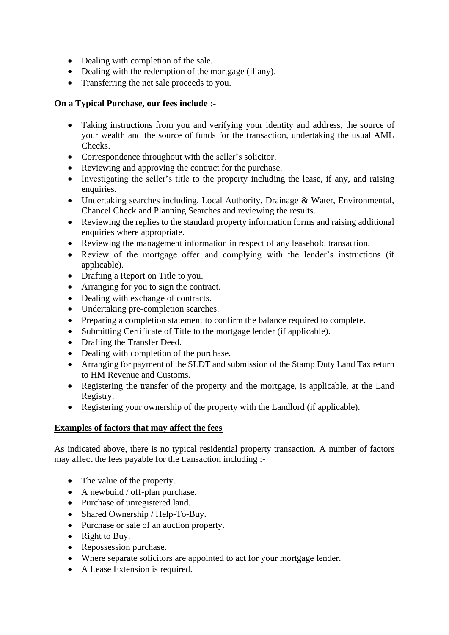- Dealing with completion of the sale.
- Dealing with the redemption of the mortgage (if any).
- Transferring the net sale proceeds to you.

### **On a Typical Purchase, our fees include :-**

- Taking instructions from you and verifying your identity and address, the source of your wealth and the source of funds for the transaction, undertaking the usual AML Checks.
- Correspondence throughout with the seller's solicitor.
- Reviewing and approving the contract for the purchase.
- Investigating the seller's title to the property including the lease, if any, and raising enquiries.
- Undertaking searches including, Local Authority, Drainage & Water, Environmental, Chancel Check and Planning Searches and reviewing the results.
- Reviewing the replies to the standard property information forms and raising additional enquiries where appropriate.
- Reviewing the management information in respect of any leasehold transaction.
- Review of the mortgage offer and complying with the lender's instructions (if applicable).
- Drafting a Report on Title to you.
- Arranging for you to sign the contract.
- Dealing with exchange of contracts.
- Undertaking pre-completion searches.
- Preparing a completion statement to confirm the balance required to complete.
- Submitting Certificate of Title to the mortgage lender (if applicable).
- Drafting the Transfer Deed.
- Dealing with completion of the purchase.
- Arranging for payment of the SLDT and submission of the Stamp Duty Land Tax return to HM Revenue and Customs.
- Registering the transfer of the property and the mortgage, is applicable, at the Land Registry.
- Registering your ownership of the property with the Landlord (if applicable).

### **Examples of factors that may affect the fees**

As indicated above, there is no typical residential property transaction. A number of factors may affect the fees payable for the transaction including :-

- The value of the property.
- A newbuild / off-plan purchase.
- Purchase of unregistered land.
- Shared Ownership / Help-To-Buy.
- Purchase or sale of an auction property.
- Right to Buy.
- Repossession purchase.
- Where separate solicitors are appointed to act for your mortgage lender.
- A Lease Extension is required.